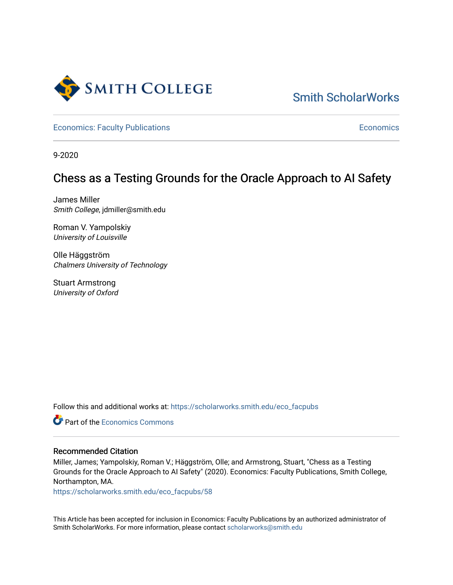

[Smith ScholarWorks](https://scholarworks.smith.edu/) 

[Economics: Faculty Publications](https://scholarworks.smith.edu/eco_facpubs) **Economics** Economics

9-2020

# Chess as a Testing Grounds for the Oracle Approach to AI Safety

James Miller Smith College, jdmiller@smith.edu

Roman V. Yampolskiy University of Louisville

Olle Häggström Chalmers University of Technology

Stuart Armstrong University of Oxford

Follow this and additional works at: [https://scholarworks.smith.edu/eco\\_facpubs](https://scholarworks.smith.edu/eco_facpubs?utm_source=scholarworks.smith.edu%2Feco_facpubs%2F58&utm_medium=PDF&utm_campaign=PDFCoverPages) 

**C** Part of the [Economics Commons](https://network.bepress.com/hgg/discipline/340?utm_source=scholarworks.smith.edu%2Feco_facpubs%2F58&utm_medium=PDF&utm_campaign=PDFCoverPages)

#### Recommended Citation

Miller, James; Yampolskiy, Roman V.; Häggström, Olle; and Armstrong, Stuart, "Chess as a Testing Grounds for the Oracle Approach to AI Safety" (2020). Economics: Faculty Publications, Smith College, Northampton, MA.

[https://scholarworks.smith.edu/eco\\_facpubs/58](https://scholarworks.smith.edu/eco_facpubs/58?utm_source=scholarworks.smith.edu%2Feco_facpubs%2F58&utm_medium=PDF&utm_campaign=PDFCoverPages)

This Article has been accepted for inclusion in Economics: Faculty Publications by an authorized administrator of Smith ScholarWorks. For more information, please contact [scholarworks@smith.edu](mailto:scholarworks@smith.edu)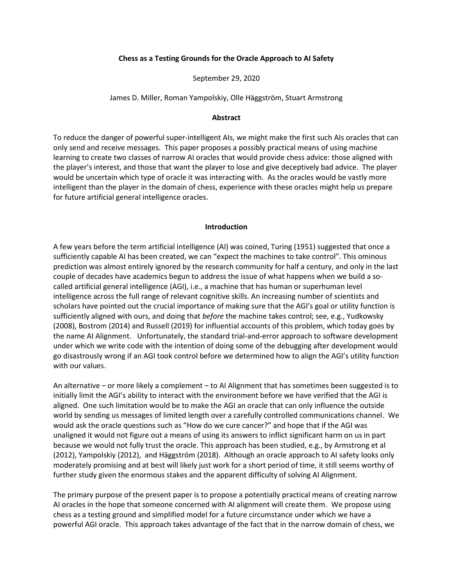## **Chess as a Testing Grounds for the Oracle Approach to AI Safety**

September 29, 2020

#### James D. Miller, Roman Yampolskiy, Olle Häggström, Stuart Armstrong

#### **Abstract**

To reduce the danger of powerful super-intelligent AIs, we might make the first such AIs oracles that can only send and receive messages. This paper proposes a possibly practical means of using machine learning to create two classes of narrow AI oracles that would provide chess advice: those aligned with the player's interest, and those that want the player to lose and give deceptively bad advice. The player would be uncertain which type of oracle it was interacting with. As the oracles would be vastly more intelligent than the player in the domain of chess, experience with these oracles might help us prepare for future artificial general intelligence oracles.

#### **Introduction**

A few years before the term artificial intelligence (AI) was coined, Turing (1951) suggested that once a sufficiently capable AI has been created, we can "expect the machines to take control". This ominous prediction was almost entirely ignored by the research community for half a century, and only in the last couple of decades have academics begun to address the issue of what happens when we build a socalled artificial general intelligence (AGI), i.e., a machine that has human or superhuman level intelligence across the full range of relevant cognitive skills. An increasing number of scientists and scholars have pointed out the crucial importance of making sure that the AGI's goal or utility function is sufficiently aligned with ours, and doing that *before* the machine takes control; see, e.g., Yudkowsky (2008), Bostrom (2014) and Russell (2019) for influential accounts of this problem, which today goes by the name AI Alignment. Unfortunately, the standard trial-and-error approach to software development under which we write code with the intention of doing some of the debugging after development would go disastrously wrong if an AGI took control before we determined how to align the AGI's utility function with our values.

An alternative – or more likely a complement – to AI Alignment that has sometimes been suggested is to initially limit the AGI's ability to interact with the environment before we have verified that the AGI is aligned. One such limitation would be to make the AGI an oracle that can only influence the outside world by sending us messages of limited length over a carefully controlled communications channel. We would ask the oracle questions such as "How do we cure cancer?" and hope that if the AGI was unaligned it would not figure out a means of using its answers to inflict significant harm on us in part because we would not fully trust the oracle. This approach has been studied, e.g., by Armstrong et al (2012), Yampolskiy (2012), and Häggström (2018). Although an oracle approach to AI safety looks only moderately promising and at best will likely just work for a short period of time, it still seems worthy of further study given the enormous stakes and the apparent difficulty of solving AI Alignment.

The primary purpose of the present paper is to propose a potentially practical means of creating narrow AI oracles in the hope that someone concerned with AI alignment will create them. We propose using chess as a testing ground and simplified model for a future circumstance under which we have a powerful AGI oracle. This approach takes advantage of the fact that in the narrow domain of chess, we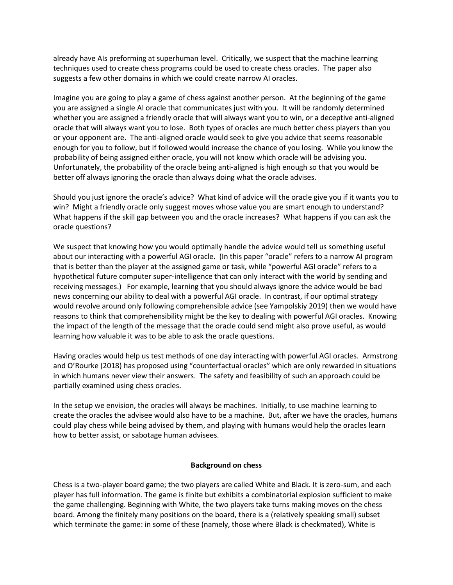already have AIs preforming at superhuman level. Critically, we suspect that the machine learning techniques used to create chess programs could be used to create chess oracles. The paper also suggests a few other domains in which we could create narrow AI oracles.

Imagine you are going to play a game of chess against another person. At the beginning of the game you are assigned a single AI oracle that communicates just with you. It will be randomly determined whether you are assigned a friendly oracle that will always want you to win, or a deceptive anti-aligned oracle that will always want you to lose. Both types of oracles are much better chess players than you or your opponent are. The anti-aligned oracle would seek to give you advice that seems reasonable enough for you to follow, but if followed would increase the chance of you losing. While you know the probability of being assigned either oracle, you will not know which oracle will be advising you. Unfortunately, the probability of the oracle being anti-aligned is high enough so that you would be better off always ignoring the oracle than always doing what the oracle advises.

Should you just ignore the oracle's advice? What kind of advice will the oracle give you if it wants you to win? Might a friendly oracle only suggest moves whose value you are smart enough to understand? What happens if the skill gap between you and the oracle increases? What happens if you can ask the oracle questions?

We suspect that knowing how you would optimally handle the advice would tell us something useful about our interacting with a powerful AGI oracle. (In this paper "oracle" refers to a narrow AI program that is better than the player at the assigned game or task, while "powerful AGI oracle" refers to a hypothetical future computer super-intelligence that can only interact with the world by sending and receiving messages.) For example, learning that you should always ignore the advice would be bad news concerning our ability to deal with a powerful AGI oracle. In contrast, if our optimal strategy would revolve around only following comprehensible advice (see Yampolskiy 2019) then we would have reasons to think that comprehensibility might be the key to dealing with powerful AGI oracles. Knowing the impact of the length of the message that the oracle could send might also prove useful, as would learning how valuable it was to be able to ask the oracle questions.

Having oracles would help us test methods of one day interacting with powerful AGI oracles. Armstrong and O'Rourke (2018) has proposed using "counterfactual oracles" which are only rewarded in situations in which humans never view their answers. The safety and feasibility of such an approach could be partially examined using chess oracles.

In the setup we envision, the oracles will always be machines. Initially, to use machine learning to create the oracles the advisee would also have to be a machine. But, after we have the oracles, humans could play chess while being advised by them, and playing with humans would help the oracles learn how to better assist, or sabotage human advisees.

#### **Background on chess**

Chess is a two-player board game; the two players are called White and Black. It is zero-sum, and each player has full information. The game is finite but exhibits a combinatorial explosion sufficient to make the game challenging. Beginning with White, the two players take turns making moves on the chess board. Among the finitely many positions on the board, there is a (relatively speaking small) subset which terminate the game: in some of these (namely, those where Black is checkmated), White is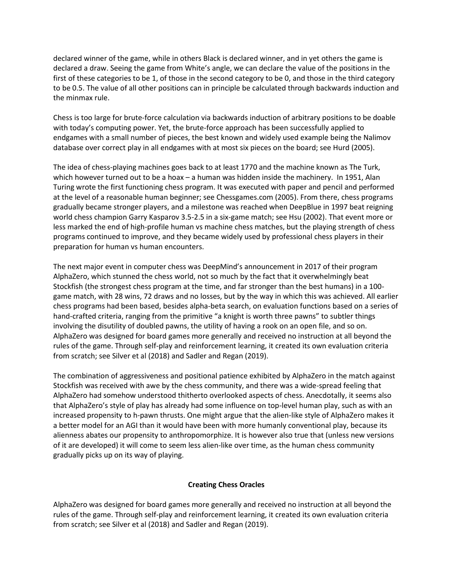declared winner of the game, while in others Black is declared winner, and in yet others the game is declared a draw. Seeing the game from White's angle, we can declare the value of the positions in the first of these categories to be 1, of those in the second category to be 0, and those in the third category to be 0.5. The value of all other positions can in principle be calculated through backwards induction and the minmax rule.

Chess is too large for brute-force calculation via backwards induction of arbitrary positions to be doable with today's computing power. Yet, the brute-force approach has been successfully applied to endgames with a small number of pieces, the best known and widely used example being the Nalimov database over correct play in all endgames with at most six pieces on the board; see Hurd (2005).

The idea of chess-playing machines goes back to at least 1770 and the machine known as The Turk, which however turned out to be a hoax – a human was hidden inside the machinery. In 1951, Alan Turing wrote the first functioning chess program. It was executed with paper and pencil and performed at the level of a reasonable human beginner; see Chessgames.com (2005). From there, chess programs gradually became stronger players, and a milestone was reached when DeepBlue in 1997 beat reigning world chess champion Garry Kasparov 3.5-2.5 in a six-game match; see Hsu (2002). That event more or less marked the end of high-profile human vs machine chess matches, but the playing strength of chess programs continued to improve, and they became widely used by professional chess players in their preparation for human vs human encounters.

The next major event in computer chess was DeepMind's announcement in 2017 of their program AlphaZero, which stunned the chess world, not so much by the fact that it overwhelmingly beat Stockfish (the strongest chess program at the time, and far stronger than the best humans) in a 100 game match, with 28 wins, 72 draws and no losses, but by the way in which this was achieved. All earlier chess programs had been based, besides alpha-beta search, on evaluation functions based on a series of hand-crafted criteria, ranging from the primitive "a knight is worth three pawns" to subtler things involving the disutility of doubled pawns, the utility of having a rook on an open file, and so on. AlphaZero was designed for board games more generally and received no instruction at all beyond the rules of the game. Through self-play and reinforcement learning, it created its own evaluation criteria from scratch; see Silver et al (2018) and Sadler and Regan (2019).

The combination of aggressiveness and positional patience exhibited by AlphaZero in the match against Stockfish was received with awe by the chess community, and there was a wide-spread feeling that AlphaZero had somehow understood thitherto overlooked aspects of chess. Anecdotally, it seems also that AlphaZero's style of play has already had some influence on top-level human play, such as with an increased propensity to h-pawn thrusts. One might argue that the alien-like style of AlphaZero makes it a better model for an AGI than it would have been with more humanly conventional play, because its alienness abates our propensity to anthropomorphize. It is however also true that (unless new versions of it are developed) it will come to seem less alien-like over time, as the human chess community gradually picks up on its way of playing.

## **Creating Chess Oracles**

AlphaZero was designed for board games more generally and received no instruction at all beyond the rules of the game. Through self-play and reinforcement learning, it created its own evaluation criteria from scratch; see Silver et al (2018) and Sadler and Regan (2019).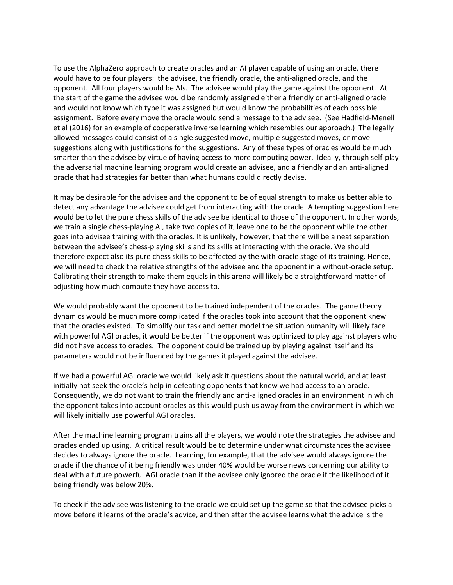To use the AlphaZero approach to create oracles and an AI player capable of using an oracle, there would have to be four players: the advisee, the friendly oracle, the anti-aligned oracle, and the opponent. All four players would be AIs. The advisee would play the game against the opponent. At the start of the game the advisee would be randomly assigned either a friendly or anti-aligned oracle and would not know which type it was assigned but would know the probabilities of each possible assignment. Before every move the oracle would send a message to the advisee. (See Hadfield-Menell et al (2016) for an example of cooperative inverse learning which resembles our approach.) The legally allowed messages could consist of a single suggested move, multiple suggested moves, or move suggestions along with justifications for the suggestions. Any of these types of oracles would be much smarter than the advisee by virtue of having access to more computing power. Ideally, through self-play the adversarial machine learning program would create an advisee, and a friendly and an anti-aligned oracle that had strategies far better than what humans could directly devise.

It may be desirable for the advisee and the opponent to be of equal strength to make us better able to detect any advantage the advisee could get from interacting with the oracle. A tempting suggestion here would be to let the pure chess skills of the advisee be identical to those of the opponent. In other words, we train a single chess-playing AI, take two copies of it, leave one to be the opponent while the other goes into advisee training with the oracles. It is unlikely, however, that there will be a neat separation between the advisee's chess-playing skills and its skills at interacting with the oracle. We should therefore expect also its pure chess skills to be affected by the with-oracle stage of its training. Hence, we will need to check the relative strengths of the advisee and the opponent in a without-oracle setup. Calibrating their strength to make them equals in this arena will likely be a straightforward matter of adjusting how much compute they have access to.

We would probably want the opponent to be trained independent of the oracles. The game theory dynamics would be much more complicated if the oracles took into account that the opponent knew that the oracles existed. To simplify our task and better model the situation humanity will likely face with powerful AGI oracles, it would be better if the opponent was optimized to play against players who did not have access to oracles. The opponent could be trained up by playing against itself and its parameters would not be influenced by the games it played against the advisee.

If we had a powerful AGI oracle we would likely ask it questions about the natural world, and at least initially not seek the oracle's help in defeating opponents that knew we had access to an oracle. Consequently, we do not want to train the friendly and anti-aligned oracles in an environment in which the opponent takes into account oracles as this would push us away from the environment in which we will likely initially use powerful AGI oracles.

After the machine learning program trains all the players, we would note the strategies the advisee and oracles ended up using. A critical result would be to determine under what circumstances the advisee decides to always ignore the oracle. Learning, for example, that the advisee would always ignore the oracle if the chance of it being friendly was under 40% would be worse news concerning our ability to deal with a future powerful AGI oracle than if the advisee only ignored the oracle if the likelihood of it being friendly was below 20%.

To check if the advisee was listening to the oracle we could set up the game so that the advisee picks a move before it learns of the oracle's advice, and then after the advisee learns what the advice is the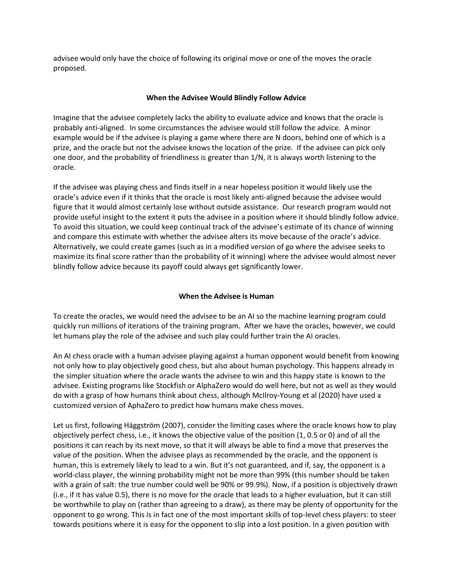advisee would only have the choice of following its original move or one of the moves the oracle proposed.

## **When the Advisee Would Blindly Follow Advice**

Imagine that the advisee completely lacks the ability to evaluate advice and knows that the oracle is probably anti-aligned. In some circumstances the advisee would still follow the advice. A minor example would be if the advisee is playing a game where there are N doors, behind one of which is a prize, and the oracle but not the advisee knows the location of the prize. If the advisee can pick only one door, and the probability of friendliness is greater than 1/N, it is always worth listening to the oracle.

If the advisee was playing chess and finds itself in a near hopeless position it would likely use the oracle's advice even if it thinks that the oracle is most likely anti-aligned because the advisee would figure that it would almost certainly lose without outside assistance. Our research program would not provide useful insight to the extent it puts the advisee in a position where it should blindly follow advice. To avoid this situation, we could keep continual track of the advisee's estimate of its chance of winning and compare this estimate with whether the advisee alters its move because of the oracle's advice. Alternatively, we could create games (such as in a modified version of go where the advisee seeks to maximize its final score rather than the probability of it winning) where the advisee would almost never blindly follow advice because its payoff could always get significantly lower.

## **When the Advisee is Human**

To create the oracles, we would need the advisee to be an AI so the machine learning program could quickly run millions of iterations of the training program. After we have the oracles, however, we could let humans play the role of the advisee and such play could further train the AI oracles.

An AI chess oracle with a human advisee playing against a human opponent would benefit from knowing not only how to play objectively good chess, but also about human psychology. This happens already in the simpler situation where the oracle wants the advisee to win and this happy state is known to the advisee. Existing programs like Stockfish or AlphaZero would do well here, but not as well as they would do with a grasp of how humans think about chess, although McIlroy-Young et al (2020) have used a customized version of AphaZero to predict how humans make chess moves.

Let us first, following Häggström (2007), consider the limiting cases where the oracle knows how to play objectively perfect chess, i.e., it knows the objective value of the position (1, 0.5 or 0) and of all the positions it can reach by its next move, so that it will always be able to find a move that preserves the value of the position. When the advisee plays as recommended by the oracle, and the opponent is human, this is extremely likely to lead to a win. But it's not guaranteed, and if, say, the opponent is a world-class player, the winning probability might not be more than 99% (this number should be taken with a grain of salt: the true number could well be 90% or 99.9%). Now, if a position is objectively drawn (i.e., if it has value 0.5), there is no move for the oracle that leads to a higher evaluation, but it can still be worthwhile to play on (rather than agreeing to a draw), as there may be plenty of opportunity for the opponent to go wrong. This is in fact one of the most important skills of top-level chess players: to steer towards positions where it is easy for the opponent to slip into a lost position. In a given position with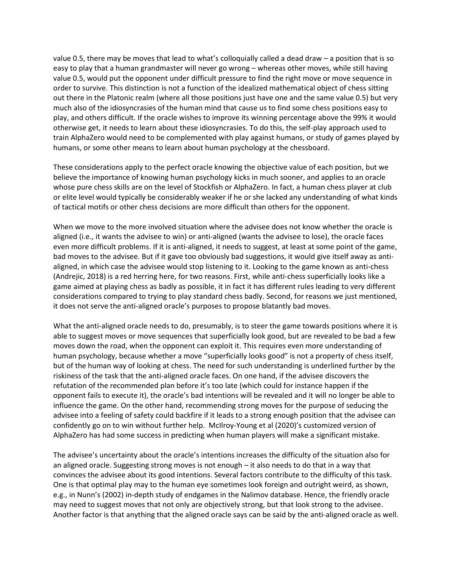value 0.5, there may be moves that lead to what's colloquially called a dead draw – a position that is so easy to play that a human grandmaster will never go wrong – whereas other moves, while still having value 0.5, would put the opponent under difficult pressure to find the right move or move sequence in order to survive. This distinction is not a function of the idealized mathematical object of chess sitting out there in the Platonic realm (where all those positions just have one and the same value 0.5) but very much also of the idiosyncrasies of the human mind that cause us to find some chess positions easy to play, and others difficult. If the oracle wishes to improve its winning percentage above the 99% it would otherwise get, it needs to learn about these idiosyncrasies. To do this, the self-play approach used to train AlphaZero would need to be complemented with play against humans, or study of games played by humans, or some other means to learn about human psychology at the chessboard.

These considerations apply to the perfect oracle knowing the objective value of each position, but we believe the importance of knowing human psychology kicks in much sooner, and applies to an oracle whose pure chess skills are on the level of Stockfish or AlphaZero. In fact, a human chess player at club or elite level would typically be considerably weaker if he or she lacked any understanding of what kinds of tactical motifs or other chess decisions are more difficult than others for the opponent.

When we move to the more involved situation where the advisee does not know whether the oracle is aligned (i.e., it wants the advisee to win) or anti-aligned (wants the advisee to lose), the oracle faces even more difficult problems. If it is anti-aligned, it needs to suggest, at least at some point of the game, bad moves to the advisee. But if it gave too obviously bad suggestions, it would give itself away as antialigned, in which case the advisee would stop listening to it. Looking to the game known as anti-chess (Andrejic, 2018) is a red herring here, for two reasons. First, while anti-chess superficially looks like a game aimed at playing chess as badly as possible, it in fact it has different rules leading to very different considerations compared to trying to play standard chess badly. Second, for reasons we just mentioned, it does not serve the anti-aligned oracle's purposes to propose blatantly bad moves.

What the anti-aligned oracle needs to do, presumably, is to steer the game towards positions where it is able to suggest moves or move sequences that superficially look good, but are revealed to be bad a few moves down the road, when the opponent can exploit it. This requires even more understanding of human psychology, because whether a move "superficially looks good" is not a property of chess itself, but of the human way of looking at chess. The need for such understanding is underlined further by the riskiness of the task that the anti-aligned oracle faces. On one hand, if the advisee discovers the refutation of the recommended plan before it's too late (which could for instance happen if the opponent fails to execute it), the oracle's bad intentions will be revealed and it will no longer be able to influence the game. On the other hand, recommending strong moves for the purpose of seducing the advisee into a feeling of safety could backfire if it leads to a strong enough position that the advisee can confidently go on to win without further help. McIlroy-Young et al (2020)'s customized version of AlphaZero has had some success in predicting when human players will make a significant mistake.

The advisee's uncertainty about the oracle's intentions increases the difficulty of the situation also for an aligned oracle. Suggesting strong moves is not enough – it also needs to do that in a way that convinces the advisee about its good intentions. Several factors contribute to the difficulty of this task. One is that optimal play may to the human eye sometimes look foreign and outright weird, as shown, e.g., in Nunn's (2002) in-depth study of endgames in the Nalimov database. Hence, the friendly oracle may need to suggest moves that not only are objectively strong, but that look strong to the advisee. Another factor is that anything that the aligned oracle says can be said by the anti-aligned oracle as well.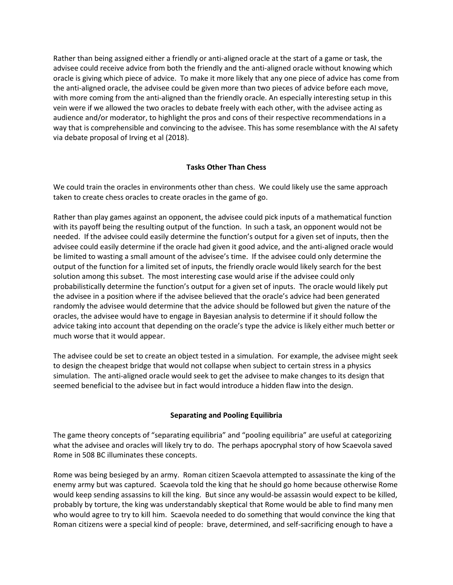Rather than being assigned either a friendly or anti-aligned oracle at the start of a game or task, the advisee could receive advice from both the friendly and the anti-aligned oracle without knowing which oracle is giving which piece of advice. To make it more likely that any one piece of advice has come from the anti-aligned oracle, the advisee could be given more than two pieces of advice before each move, with more coming from the anti-aligned than the friendly oracle. An especially interesting setup in this vein were if we allowed the two oracles to debate freely with each other, with the advisee acting as audience and/or moderator, to highlight the pros and cons of their respective recommendations in a way that is comprehensible and convincing to the advisee. This has some resemblance with the AI safety via debate proposal of Irving et al (2018).

## **Tasks Other Than Chess**

We could train the oracles in environments other than chess. We could likely use the same approach taken to create chess oracles to create oracles in the game of go.

Rather than play games against an opponent, the advisee could pick inputs of a mathematical function with its payoff being the resulting output of the function. In such a task, an opponent would not be needed. If the advisee could easily determine the function's output for a given set of inputs, then the advisee could easily determine if the oracle had given it good advice, and the anti-aligned oracle would be limited to wasting a small amount of the advisee's time. If the advisee could only determine the output of the function for a limited set of inputs, the friendly oracle would likely search for the best solution among this subset. The most interesting case would arise if the advisee could only probabilistically determine the function's output for a given set of inputs. The oracle would likely put the advisee in a position where if the advisee believed that the oracle's advice had been generated randomly the advisee would determine that the advice should be followed but given the nature of the oracles, the advisee would have to engage in Bayesian analysis to determine if it should follow the advice taking into account that depending on the oracle's type the advice is likely either much better or much worse that it would appear.

The advisee could be set to create an object tested in a simulation. For example, the advisee might seek to design the cheapest bridge that would not collapse when subject to certain stress in a physics simulation. The anti-aligned oracle would seek to get the advisee to make changes to its design that seemed beneficial to the advisee but in fact would introduce a hidden flaw into the design.

## **Separating and Pooling Equilibria**

The game theory concepts of "separating equilibria" and "pooling equilibria" are useful at categorizing what the advisee and oracles will likely try to do. The perhaps apocryphal story of how Scaevola saved Rome in 508 BC illuminates these concepts.

Rome was being besieged by an army. Roman citizen Scaevola attempted to assassinate the king of the enemy army but was captured. Scaevola told the king that he should go home because otherwise Rome would keep sending assassins to kill the king. But since any would-be assassin would expect to be killed, probably by torture, the king was understandably skeptical that Rome would be able to find many men who would agree to try to kill him. Scaevola needed to do something that would convince the king that Roman citizens were a special kind of people: brave, determined, and self-sacrificing enough to have a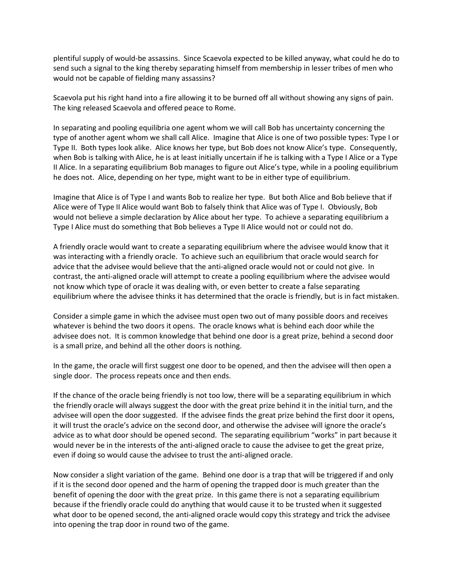plentiful supply of would-be assassins. Since Scaevola expected to be killed anyway, what could he do to send such a signal to the king thereby separating himself from membership in lesser tribes of men who would not be capable of fielding many assassins?

Scaevola put his right hand into a fire allowing it to be burned off all without showing any signs of pain. The king released Scaevola and offered peace to Rome.

In separating and pooling equilibria one agent whom we will call Bob has uncertainty concerning the type of another agent whom we shall call Alice. Imagine that Alice is one of two possible types: Type I or Type II. Both types look alike. Alice knows her type, but Bob does not know Alice's type. Consequently, when Bob is talking with Alice, he is at least initially uncertain if he is talking with a Type I Alice or a Type II Alice. In a separating equilibrium Bob manages to figure out Alice's type, while in a pooling equilibrium he does not. Alice, depending on her type, might want to be in either type of equilibrium.

Imagine that Alice is of Type I and wants Bob to realize her type. But both Alice and Bob believe that if Alice were of Type II Alice would want Bob to falsely think that Alice was of Type I. Obviously, Bob would not believe a simple declaration by Alice about her type. To achieve a separating equilibrium a Type I Alice must do something that Bob believes a Type II Alice would not or could not do.

A friendly oracle would want to create a separating equilibrium where the advisee would know that it was interacting with a friendly oracle. To achieve such an equilibrium that oracle would search for advice that the advisee would believe that the anti-aligned oracle would not or could not give. In contrast, the anti-aligned oracle will attempt to create a pooling equilibrium where the advisee would not know which type of oracle it was dealing with, or even better to create a false separating equilibrium where the advisee thinks it has determined that the oracle is friendly, but is in fact mistaken.

Consider a simple game in which the advisee must open two out of many possible doors and receives whatever is behind the two doors it opens. The oracle knows what is behind each door while the advisee does not. It is common knowledge that behind one door is a great prize, behind a second door is a small prize, and behind all the other doors is nothing.

In the game, the oracle will first suggest one door to be opened, and then the advisee will then open a single door. The process repeats once and then ends.

If the chance of the oracle being friendly is not too low, there will be a separating equilibrium in which the friendly oracle will always suggest the door with the great prize behind it in the initial turn, and the advisee will open the door suggested. If the advisee finds the great prize behind the first door it opens, it will trust the oracle's advice on the second door, and otherwise the advisee will ignore the oracle's advice as to what door should be opened second. The separating equilibrium "works" in part because it would never be in the interests of the anti-aligned oracle to cause the advisee to get the great prize, even if doing so would cause the advisee to trust the anti-aligned oracle.

Now consider a slight variation of the game. Behind one door is a trap that will be triggered if and only if it is the second door opened and the harm of opening the trapped door is much greater than the benefit of opening the door with the great prize. In this game there is not a separating equilibrium because if the friendly oracle could do anything that would cause it to be trusted when it suggested what door to be opened second, the anti-aligned oracle would copy this strategy and trick the advisee into opening the trap door in round two of the game.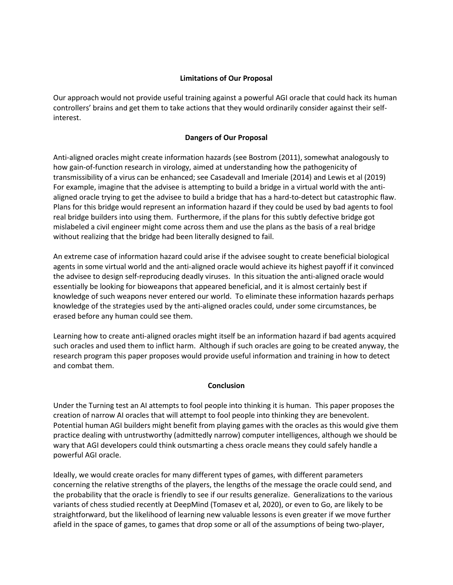## **Limitations of Our Proposal**

Our approach would not provide useful training against a powerful AGI oracle that could hack its human controllers' brains and get them to take actions that they would ordinarily consider against their selfinterest.

#### **Dangers of Our Proposal**

Anti-aligned oracles might create information hazards (see Bostrom (2011), somewhat analogously to how gain-of-function research in virology, aimed at understanding how the pathogenicity of transmissibility of a virus can be enhanced; see Casadevall and Imeriale (2014) and Lewis et al (2019) For example, imagine that the advisee is attempting to build a bridge in a virtual world with the antialigned oracle trying to get the advisee to build a bridge that has a hard-to-detect but catastrophic flaw. Plans for this bridge would represent an information hazard if they could be used by bad agents to fool real bridge builders into using them. Furthermore, if the plans for this subtly defective bridge got mislabeled a civil engineer might come across them and use the plans as the basis of a real bridge without realizing that the bridge had been literally designed to fail.

An extreme case of information hazard could arise if the advisee sought to create beneficial biological agents in some virtual world and the anti-aligned oracle would achieve its highest payoff if it convinced the advisee to design self-reproducing deadly viruses. In this situation the anti-aligned oracle would essentially be looking for bioweapons that appeared beneficial, and it is almost certainly best if knowledge of such weapons never entered our world. To eliminate these information hazards perhaps knowledge of the strategies used by the anti-aligned oracles could, under some circumstances, be erased before any human could see them.

Learning how to create anti-aligned oracles might itself be an information hazard if bad agents acquired such oracles and used them to inflict harm. Although if such oracles are going to be created anyway, the research program this paper proposes would provide useful information and training in how to detect and combat them.

#### **Conclusion**

Under the Turning test an AI attempts to fool people into thinking it is human. This paper proposes the creation of narrow AI oracles that will attempt to fool people into thinking they are benevolent. Potential human AGI builders might benefit from playing games with the oracles as this would give them practice dealing with untrustworthy (admittedly narrow) computer intelligences, although we should be wary that AGI developers could think outsmarting a chess oracle means they could safely handle a powerful AGI oracle.

Ideally, we would create oracles for many different types of games, with different parameters concerning the relative strengths of the players, the lengths of the message the oracle could send, and the probability that the oracle is friendly to see if our results generalize. Generalizations to the various variants of chess studied recently at DeepMind (Tomasev et al, 2020), or even to Go, are likely to be straightforward, but the likelihood of learning new valuable lessons is even greater if we move further afield in the space of games, to games that drop some or all of the assumptions of being two-player,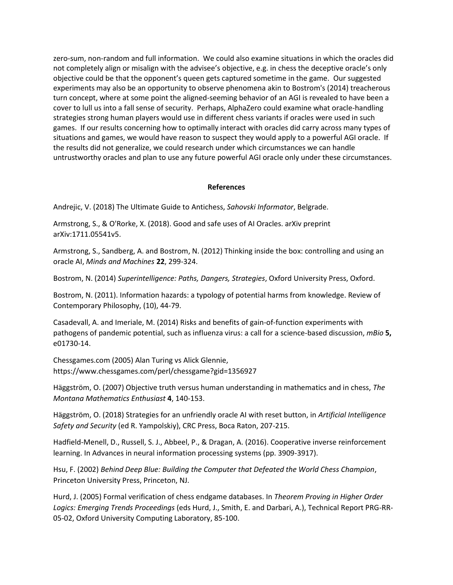zero-sum, non-random and full information. We could also examine situations in which the oracles did not completely align or misalign with the advisee's objective, e.g. in chess the deceptive oracle's only objective could be that the opponent's queen gets captured sometime in the game. Our suggested experiments may also be an opportunity to observe phenomena akin to Bostrom's (2014) treacherous turn concept, where at some point the aligned-seeming behavior of an AGI is revealed to have been a cover to lull us into a fall sense of security. Perhaps, AlphaZero could examine what oracle-handling strategies strong human players would use in different chess variants if oracles were used in such games. If our results concerning how to optimally interact with oracles did carry across many types of situations and games, we would have reason to suspect they would apply to a powerful AGI oracle. If the results did not generalize, we could research under which circumstances we can handle untrustworthy oracles and plan to use any future powerful AGI oracle only under these circumstances.

#### **References**

Andrejic, V. (2018) The Ultimate Guide to Antichess, *Sahovski Informator*, Belgrade.

Armstrong, S., & O'Rorke, X. (2018). Good and safe uses of AI Oracles. arXiv preprint arXiv:1711.05541v5.

Armstrong, S., Sandberg, A. and Bostrom, N. (2012) Thinking inside the box: controlling and using an oracle AI, *Minds and Machines* **22**, 299-324.

Bostrom, N. (2014) *Superintelligence: Paths, Dangers, Strategies*, Oxford University Press, Oxford.

Bostrom, N. (2011). Information hazards: a typology of potential harms from knowledge. Review of Contemporary Philosophy, (10), 44-79.

Casadevall, A. and Imeriale, M. (2014) Risks and benefits of gain-of-function experiments with pathogens of pandemic potential, such as influenza virus: a call for a science-based discussion, *mBio* **5,** e01730-14.

Chessgames.com (2005) Alan Turing vs Alick Glennie, https://www.chessgames.com/perl/chessgame?gid=1356927

Häggström, O. (2007) Objective truth versus human understanding in mathematics and in chess, *The Montana Mathematics Enthusiast* **4**, 140-153.

Häggström, O. (2018) Strategies for an unfriendly oracle AI with reset button, in *Artificial Intelligence Safety and Security* (ed R. Yampolskiy), CRC Press, Boca Raton, 207-215.

Hadfield-Menell, D., Russell, S. J., Abbeel, P., & Dragan, A. (2016). Cooperative inverse reinforcement learning. In Advances in neural information processing systems (pp. 3909-3917).

Hsu, F. (2002) *Behind Deep Blue: Building the Computer that Defeated the World Chess Champion*, Princeton University Press, Princeton, NJ.

Hurd, J. (2005) Formal verification of chess endgame databases. In *Theorem Proving in Higher Order Logics: Emerging Trends Proceedings* (eds Hurd, J., Smith, E. and Darbari, A.), Technical Report PRG-RR-05-02, Oxford University Computing Laboratory, 85-100.